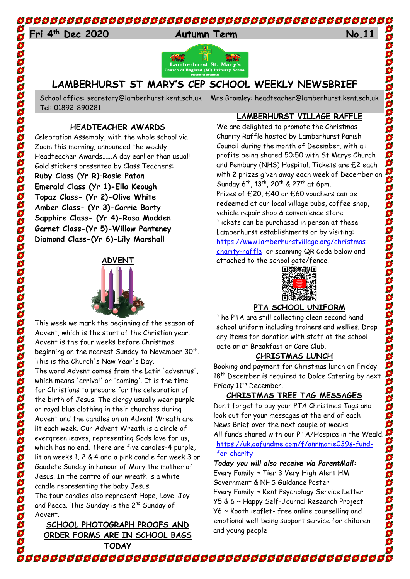## 

## 24 **Fri 4th Dec 2020 Autumn Term No.11**



## **LAMBERHURST ST MARY'S CEP SCHOOL WEEKLY NEWSBRIEF**

School office: [secretary@lamberhurst.kent.sch.uk](mailto:secretary@lamberhurst.kent.sch.uk) Mrs Bromley: headteacher@lamberhurst.kent.sch.uk Tel: 01892-890281

#### **HEADTEACHER AWARDS**

Celebration Assembly, with the whole school via Zoom this morning, announced the weekly Headteacher Awards…...A day earlier than usual! Gold stickers presented by Class Teachers: **Ruby Class (Yr R)–Rosie Paton Emerald Class (Yr 1)-Ella Keough Topaz Class- (Yr 2)-Olive White Amber Class- (Yr 3)-Carrie Barty Sapphire Class- (Yr 4)-Rosa Madden Garnet Class-(Yr 5)-Willow Panteney Diamond Class-(Yr 6)-Lily Marshall**

### **ADVENT**



This week we mark the beginning of the season of Advent, which is the start of the Christian year. Advent is the four weeks before Christmas, beginning on the nearest Sunday to November  $30<sup>th</sup>$ . This is the Church's New Year's Day. The word Advent comes from the Latin 'adventus', which means 'arrival' or 'coming'. It is the time for Christians to prepare for the celebration of the birth of Jesus. The clergy usually wear purple or royal blue clothing in their churches during Advent and the candles on an Advent Wreath are lit each week. Our Advent Wreath is a circle of evergreen leaves, representing Gods love for us, which has no end. There are five candles-4 purple, lit on weeks 1, 2 & 4 and a pink candle for week 3 or Gaudete Sunday in honour of Mary the mother of Jesus. In the centre of our wreath is a white

candle representing the baby Jesus. The four candles also represent Hope, Love, Joy and Peace. This Sunday is the 2<sup>nd</sup> Sunday of Advent.

#### **SCHOOL PHOTOGRAPH PROOFS AND ORDER FORMS ARE IN SCHOOL BAGS TODAY**

#### **LAMBERHURST VILLAGE RAFFLE**

We are delighted to promote the Christmas Charity Raffle hosted by Lamberhurst Parish Council during the month of December, with all profits being shared 50:50 with St Marys Church and Pembury (NHS) Hospital. Tickets are £2 each with 2 prizes given away each week of December on Sunday 6<sup>th</sup>, 13<sup>th</sup>, 20<sup>th</sup> & 27<sup>th</sup> at 6pm. Prizes of £20, £40 or £60 vouchers can be redeemed at our local village pubs, coffee shop, vehicle repair shop & convenience store. Tickets can be purchased in person at these Lamberhurst establishments or by visiting: [https://www.lamberhurstvillage.org/christmas](https://www.lamberhurstvillage.org/christmas-charity-raffle)[charity-raffle](https://www.lamberhurstvillage.org/christmas-charity-raffle) or scanning QR Code below and attached to the school gate/fence.

2020202020202020202020



#### **PTA SCHOOL UNIFORM**

The PTA are still collecting clean second hand school uniform including trainers and wellies. Drop any items for donation with staff at the school gate or at Breakfast or Care Club.

#### **CHRISTMAS LUNCH**

Booking and payment for Christmas lunch on Friday 18<sup>th</sup> December is required to Dolce Catering by next Friday 11<sup>th</sup> December.

#### **CHRISTMAS TREE TAG MESSAGES**

Don't forget to buy your PTA Christmas Tags and look out for your messages at the end of each News Brief over the next couple of weeks. All funds shared with our PTA/Hospice in the Weald. [https://uk.gofundme.com/f/annmarie039s-fund](https://uk.gofundme.com/f/annmarie039s-fund-for-charity)[for-charity](https://uk.gofundme.com/f/annmarie039s-fund-for-charity)

#### *Today you will also receive via ParentMail:*

Every Family ~ Tier 3 Very High Alert HM Government & NHS Guidance Poster Every Family ~ Kent Psychology Service Letter Y5 & 6 ~ Happy Self-Journal Research Project Y6 ~ Kooth leaflet- free online counselling and emotional well-being support service for children and young people